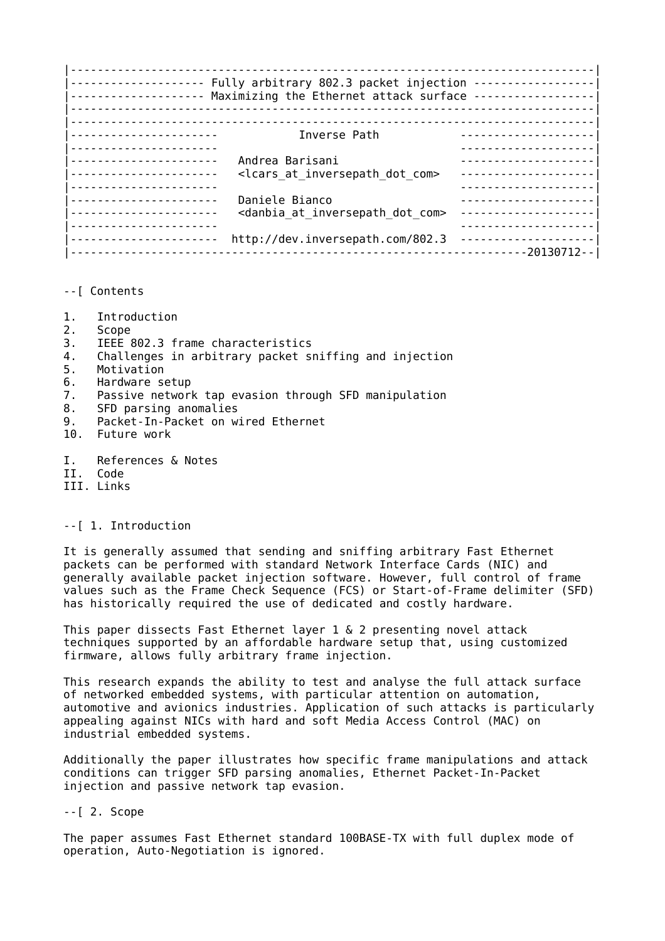|------------------------------------------------------------------------------| |-------------------- Fully arbitrary 802.3 packet injection ------------------| |-------------------- Maximizing the Ethernet attack surface ------------------| |------------------------------------------------------------------------------| |------------------------------------------------------------------------------| |---------------------- Inverse Path --------------------| |---------------------- --------------------| |---------------------- Andrea Barisani --------------------| --------------------- <lcars at inversepath dot com> |---------------------- --------------------| |---------------------- Daniele Bianco --------------------| --------------------- <danbia at inversepath dot com> ----------------------| |---------------------- --------------------| |---------------------- http://dev.inversepath.com/802.3 --------------------| |--------------------------------------------------------------------20130712--|

- --[ Contents
- 1. Introduction
- 2. Scope<br>3. IEEE
- IEEE 802.3 frame characteristics
- 4. Challenges in arbitrary packet sniffing and injection
- 5. Motivation
- 6. Hardware setup
- 7. Passive network tap evasion through SFD manipulation
- 8. SFD parsing anomalies
- 9. Packet-In-Packet on wired Ethernet<br>10. Future work
- Future work
- I. References & Notes
- II. Code
- III. Links

## --[ 1. Introduction

It is generally assumed that sending and sniffing arbitrary Fast Ethernet packets can be performed with standard Network Interface Cards (NIC) and generally available packet injection software. However, full control of frame values such as the Frame Check Sequence (FCS) or Start-of-Frame delimiter (SFD) has historically required the use of dedicated and costly hardware.

This paper dissects Fast Ethernet layer 1 & 2 presenting novel attack techniques supported by an affordable hardware setup that, using customized firmware, allows fully arbitrary frame injection.

This research expands the ability to test and analyse the full attack surface of networked embedded systems, with particular attention on automation, automotive and avionics industries. Application of such attacks is particularly appealing against NICs with hard and soft Media Access Control (MAC) on industrial embedded systems.

Additionally the paper illustrates how specific frame manipulations and attack conditions can trigger SFD parsing anomalies, Ethernet Packet-In-Packet injection and passive network tap evasion.

--[ 2. Scope

The paper assumes Fast Ethernet standard 100BASE-TX with full duplex mode of operation, Auto-Negotiation is ignored.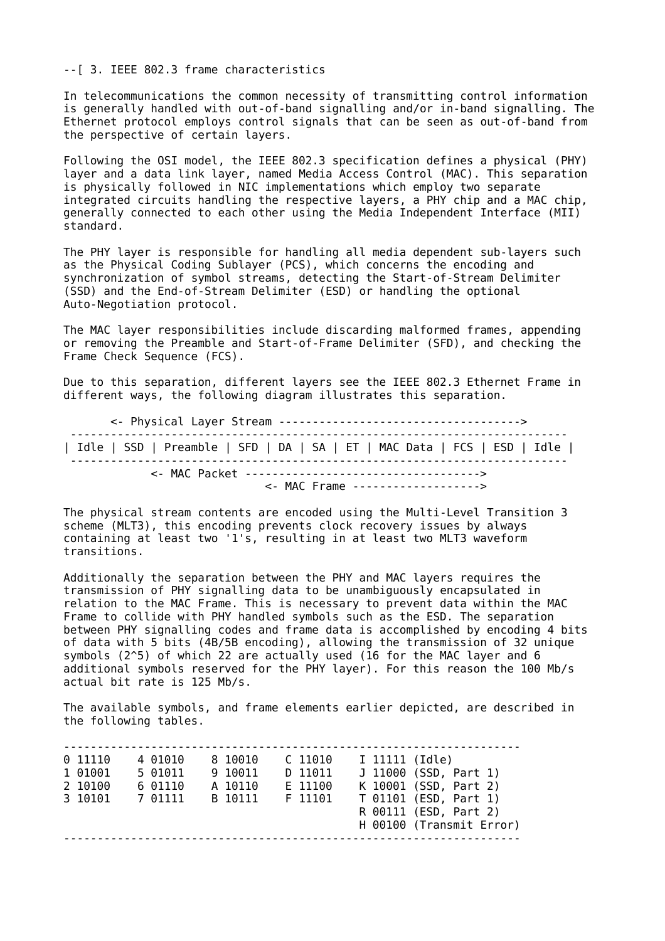--[ 3. IEEE 802.3 frame characteristics

In telecommunications the common necessity of transmitting control information is generally handled with out-of-band signalling and/or in-band signalling. The Ethernet protocol employs control signals that can be seen as out-of-band from the perspective of certain layers.

Following the OSI model, the IEEE 802.3 specification defines a physical (PHY) layer and a data link layer, named Media Access Control (MAC). This separation is physically followed in NIC implementations which employ two separate integrated circuits handling the respective layers, a PHY chip and a MAC chip, generally connected to each other using the Media Independent Interface (MII) standard.

The PHY layer is responsible for handling all media dependent sub-layers such as the Physical Coding Sublayer (PCS), which concerns the encoding and synchronization of symbol streams, detecting the Start-of-Stream Delimiter (SSD) and the End-of-Stream Delimiter (ESD) or handling the optional Auto-Negotiation protocol.

The MAC layer responsibilities include discarding malformed frames, appending or removing the Preamble and Start-of-Frame Delimiter (SFD), and checking the Frame Check Sequence (FCS).

Due to this separation, different layers see the IEEE 802.3 Ethernet Frame in different ways, the following diagram illustrates this separation.

 <- Physical Layer Stream ------------------------------------> -------------------------------------------------------------------------- | Idle | SSD | Preamble | SFD | DA | SA | ET | MAC Data | FCS | ESD | Idle | -------------------------------------------------------------------------- <- MAC Packet -----------------------------------> <- MAC Frame ------------------->

The physical stream contents are encoded using the Multi-Level Transition 3 scheme (MLT3), this encoding prevents clock recovery issues by always containing at least two '1's, resulting in at least two MLT3 waveform transitions.

Additionally the separation between the PHY and MAC layers requires the transmission of PHY signalling data to be unambiguously encapsulated in relation to the MAC Frame. This is necessary to prevent data within the MAC Frame to collide with PHY handled symbols such as the ESD. The separation between PHY signalling codes and frame data is accomplished by encoding 4 bits of data with 5 bits (4B/5B encoding), allowing the transmission of 32 unique symbols (2^5) of which 22 are actually used (16 for the MAC layer and 6 additional symbols reserved for the PHY layer). For this reason the 100 Mb/s actual bit rate is 125 Mb/s.

The available symbols, and frame elements earlier depicted, are described in the following tables.

-------------------------------------------------------------------- 0 11110 4 01010 8 10010 C 11010 I 11111 (Idle) 1 01001 5 01011 9 10011 D 11011 J 11000 (SSD, Part 1) 2 10100 6 01110 A 10110 E 11100 K 10001 (SSD, Part 2) 3 10101 7 01111 B 10111 F 11101 T 01101 (ESD, Part 1) R 00111 (ESD, Part 2) H 00100 (Transmit Error) --------------------------------------------------------------------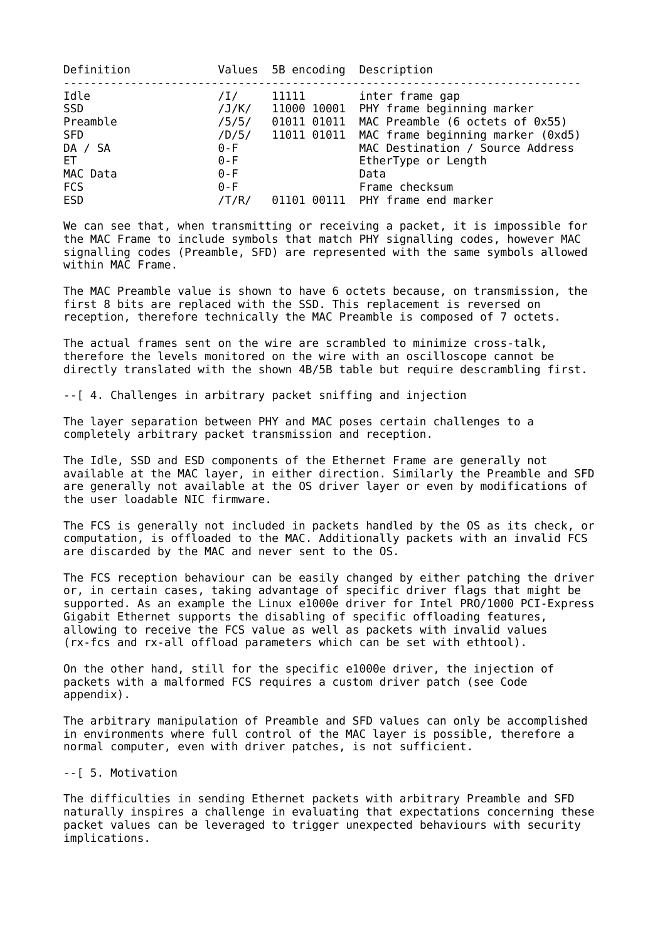| Definition                                                                               |                                                                          | Values 5B encoding Description |                                                                                                                                                                                                                                                                                            |
|------------------------------------------------------------------------------------------|--------------------------------------------------------------------------|--------------------------------|--------------------------------------------------------------------------------------------------------------------------------------------------------------------------------------------------------------------------------------------------------------------------------------------|
| Idle<br>SSD<br>Preamble<br><b>SFD</b><br>DA / SA<br>ET.<br>MAC Data<br><b>FCS</b><br>ESD | /1/<br>/5/5/<br>/D/5/<br>$0 - F$<br>$0 - F$<br>$0 - F$<br>$0-F$<br>/T/R/ | 11111                          | inter frame gap<br>$/J/K/$ 11000 10001 PHY frame beginning marker<br>01011 01011 MAC Preamble (6 octets of 0x55)<br>11011 01011 MAC frame beginning marker (0xd5)<br>MAC Destination / Source Address<br>EtherType or Length<br>Data<br>Frame checksum<br>01101 00111 PHY frame end marker |
|                                                                                          |                                                                          |                                |                                                                                                                                                                                                                                                                                            |

We can see that, when transmitting or receiving a packet, it is impossible for the MAC Frame to include symbols that match PHY signalling codes, however MAC signalling codes (Preamble, SFD) are represented with the same symbols allowed within MAC Frame.

The MAC Preamble value is shown to have 6 octets because, on transmission, the first 8 bits are replaced with the SSD. This replacement is reversed on reception, therefore technically the MAC Preamble is composed of 7 octets.

The actual frames sent on the wire are scrambled to minimize cross-talk, therefore the levels monitored on the wire with an oscilloscope cannot be directly translated with the shown 4B/5B table but require descrambling first.

--[ 4. Challenges in arbitrary packet sniffing and injection

The layer separation between PHY and MAC poses certain challenges to a completely arbitrary packet transmission and reception.

The Idle, SSD and ESD components of the Ethernet Frame are generally not available at the MAC layer, in either direction. Similarly the Preamble and SFD are generally not available at the OS driver layer or even by modifications of the user loadable NIC firmware.

The FCS is generally not included in packets handled by the OS as its check, or computation, is offloaded to the MAC. Additionally packets with an invalid FCS are discarded by the MAC and never sent to the OS.

The FCS reception behaviour can be easily changed by either patching the driver or, in certain cases, taking advantage of specific driver flags that might be supported. As an example the Linux e1000e driver for Intel PRO/1000 PCI-Express Gigabit Ethernet supports the disabling of specific offloading features, allowing to receive the FCS value as well as packets with invalid values (rx-fcs and rx-all offload parameters which can be set with ethtool).

On the other hand, still for the specific e1000e driver, the injection of packets with a malformed FCS requires a custom driver patch (see Code appendix).

The arbitrary manipulation of Preamble and SFD values can only be accomplished in environments where full control of the MAC layer is possible, therefore a normal computer, even with driver patches, is not sufficient.

--[ 5. Motivation

The difficulties in sending Ethernet packets with arbitrary Preamble and SFD naturally inspires a challenge in evaluating that expectations concerning these packet values can be leveraged to trigger unexpected behaviours with security implications.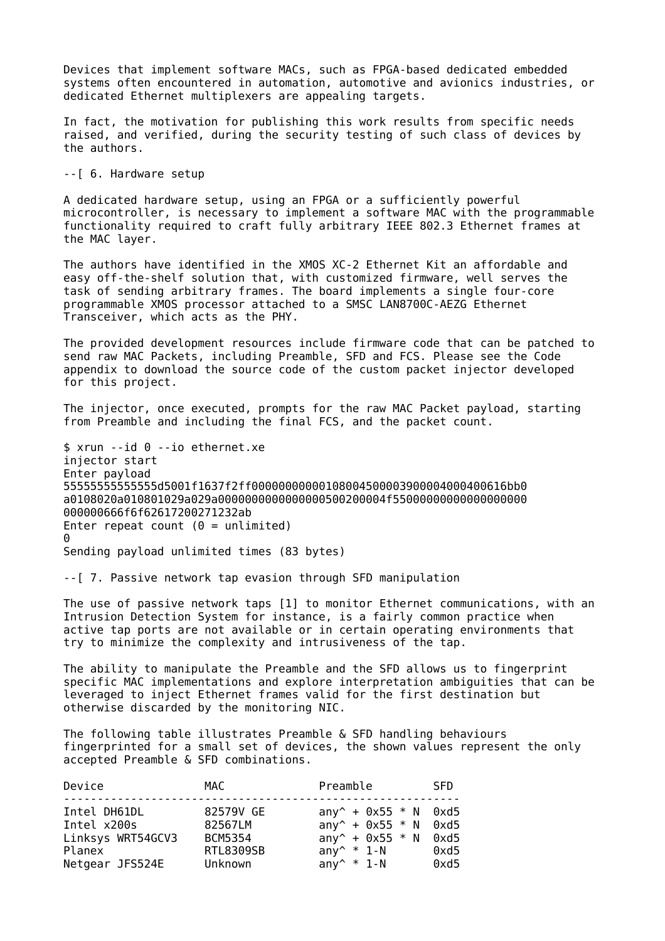Devices that implement software MACs, such as FPGA-based dedicated embedded systems often encountered in automation, automotive and avionics industries, or dedicated Ethernet multiplexers are appealing targets.

In fact, the motivation for publishing this work results from specific needs raised, and verified, during the security testing of such class of devices by the authors.

--[ 6. Hardware setup

A dedicated hardware setup, using an FPGA or a sufficiently powerful microcontroller, is necessary to implement a software MAC with the programmable functionality required to craft fully arbitrary IEEE 802.3 Ethernet frames at the MAC layer.

The authors have identified in the XMOS XC-2 Ethernet Kit an affordable and easy off-the-shelf solution that, with customized firmware, well serves the task of sending arbitrary frames. The board implements a single four-core programmable XMOS processor attached to a SMSC LAN8700C-AEZG Ethernet Transceiver, which acts as the PHY.

The provided development resources include firmware code that can be patched to send raw MAC Packets, including Preamble, SFD and FCS. Please see the Code appendix to download the source code of the custom packet injector developed for this project.

The injector, once executed, prompts for the raw MAC Packet payload, starting from Preamble and including the final FCS, and the packet count.

\$ xrun --id 0 --io ethernet.xe injector start Enter payload 55555555555555d5001f1637f2ff00000000000108004500003900004000400616bb0 a0108020a010801029a029a0000000000000000500200004f55000000000000000000 000000666f6f62617200271232ab Enter repeat count  $(0 = \text{unlimited})$ 0 Sending payload unlimited times (83 bytes)

--[ 7. Passive network tap evasion through SFD manipulation

The use of passive network taps [1] to monitor Ethernet communications, with an Intrusion Detection System for instance, is a fairly common practice when active tap ports are not available or in certain operating environments that try to minimize the complexity and intrusiveness of the tap.

The ability to manipulate the Preamble and the SFD allows us to fingerprint specific MAC implementations and explore interpretation ambiguities that can be leveraged to inject Ethernet frames valid for the first destination but otherwise discarded by the monitoring NIC.

The following table illustrates Preamble & SFD handling behaviours fingerprinted for a small set of devices, the shown values represent the only accepted Preamble & SFD combinations.

| Device                                                                        | MAC                                                                   | Preamble                                                                                                                             | <b>SFD</b>                    |
|-------------------------------------------------------------------------------|-----------------------------------------------------------------------|--------------------------------------------------------------------------------------------------------------------------------------|-------------------------------|
| Intel DH61DL<br>Intel x200s<br>Linksys WRT54GCV3<br>Planex<br>Netgear JFS524E | 82579V GE<br>82567LM<br><b>BCM5354</b><br><b>RTL8309SB</b><br>Unknown | $any^+ + 0x55 * N$ 0xd5<br>$any^+ + 0x55 * N$ 0xd5<br>any <sup><math>\sim</math></sup> + 0x55 $*$ N<br>any $*$ 1-N<br>any $^*$ * 1-N | $0 \times d5$<br>0xd5<br>0xd5 |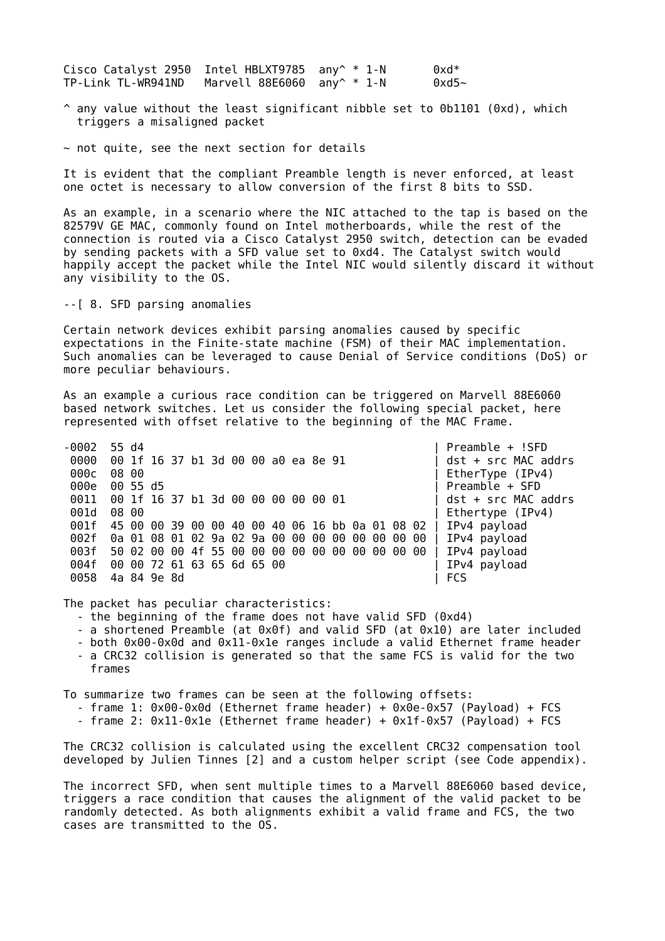Cisco Catalyst 2950 Intel HBLXT9785 any  $*$  1-N 0xd $*$ TP-Link TL-WR941ND Marvell 88E6060 any  $*$  1-N 0xd5~

 $\hat{\ }$  any value without the least significant nibble set to 0b1101 (0xd), which triggers a misaligned packet

 $\sim$  not quite, see the next section for details

It is evident that the compliant Preamble length is never enforced, at least one octet is necessary to allow conversion of the first 8 bits to SSD.

As an example, in a scenario where the NIC attached to the tap is based on the 82579V GE MAC, commonly found on Intel motherboards, while the rest of the connection is routed via a Cisco Catalyst 2950 switch, detection can be evaded by sending packets with a SFD value set to 0xd4. The Catalyst switch would happily accept the packet while the Intel NIC would silently discard it without any visibility to the OS.

--[ 8. SFD parsing anomalies

Certain network devices exhibit parsing anomalies caused by specific expectations in the Finite-state machine (FSM) of their MAC implementation. Such anomalies can be leveraged to cause Denial of Service conditions (DoS) or more peculiar behaviours.

As an example a curious race condition can be triggered on Marvell 88E6060 based network switches. Let us consider the following special packet, here represented with offset relative to the beginning of the MAC Frame.

-0002 55 d4 | Preamble + !SFD 0000 00 1f 16 37 b1 3d 00 00 a0 ea 8e 91 | dst + src MAC addrs 000c 08 00 **big and the contract of the contract of the contract of the contract of the contract of the contract of the contract of the contract of the contract of the contract of the contract of the contract of the contra**  000e 00 55 d5 | Preamble + SFD 0011 00 1f 16 37 b1 3d 00 00 00 00 00 01 | dst + src MAC addrs 001d 08 00 **Details and the set of the set of the set of the set of the set of the set of the set of the set o**  001f 45 00 00 39 00 00 40 00 40 06 16 bb 0a 01 08 02 | IPv4 payload 002f 0a 01 08 01 02 9a 02 9a 00 00 00 00 00 00 00 00 | IPv4 payload 003f 50 02 00 00 4f 55 00 00 00 00 00 00 00 00 00 00 | IPv4 payload 004f 00 00 72 61 63 65 6d 65 00<br>0058 4a 84 9e 8d 0058 4a 84 9e 8d

The packet has peculiar characteristics:

- the beginning of the frame does not have valid SFD (0xd4)
- a shortened Preamble (at 0x0f) and valid SFD (at 0x10) are later included
- both 0x00-0x0d and 0x11-0x1e ranges include a valid Ethernet frame header
- a CRC32 collision is generated so that the same FCS is valid for the two frames

To summarize two frames can be seen at the following offsets: - frame 1:  $0 \times 00 - 0 \times 0d$  (Ethernet frame header) +  $0 \times 0e - 0 \times 57$  (Payload) + FCS

- frame 2: 0x11-0x1e (Ethernet frame header) + 0x1f-0x57 (Payload) + FCS

The CRC32 collision is calculated using the excellent CRC32 compensation tool developed by Julien Tinnes [2] and a custom helper script (see Code appendix).

The incorrect SFD, when sent multiple times to a Marvell 88E6060 based device, triggers a race condition that causes the alignment of the valid packet to be randomly detected. As both alignments exhibit a valid frame and FCS, the two cases are transmitted to the OS.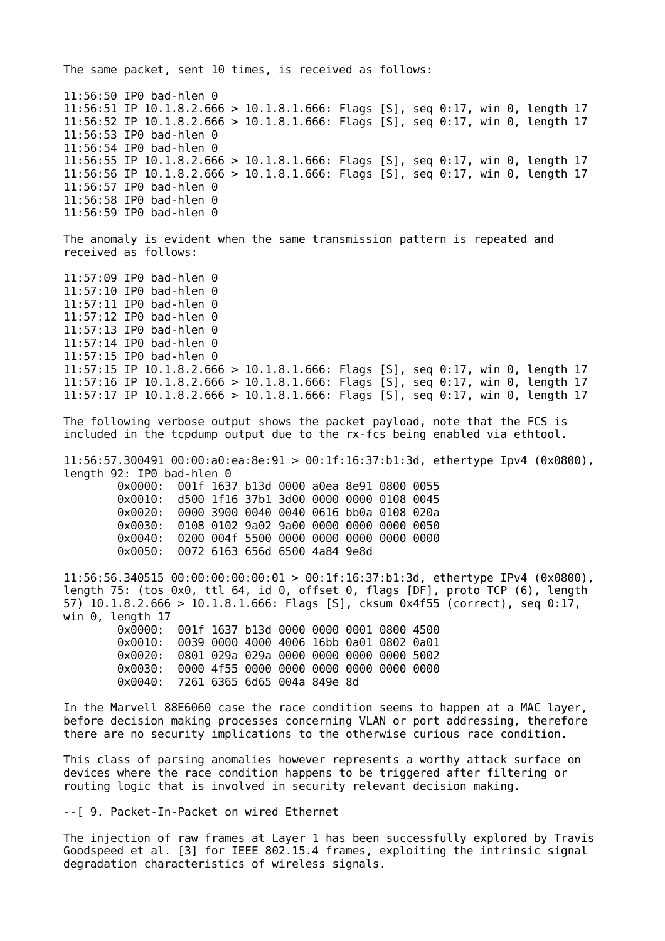The same packet, sent 10 times, is received as follows: 11:56:50 IP0 bad-hlen 0 11:56:51 IP 10.1.8.2.666 > 10.1.8.1.666: Flags [S], seq 0:17, win 0, length 17 11:56:52 IP 10.1.8.2.666 > 10.1.8.1.666: Flags [S], seq 0:17, win 0, length 17 11:56:53 IP0 bad-hlen 0 11:56:54 IP0 bad-hlen 0 11:56:55 IP 10.1.8.2.666 > 10.1.8.1.666: Flags [S], seq 0:17, win 0, length 17 11:56:56 IP 10.1.8.2.666 > 10.1.8.1.666: Flags [S], seq 0:17, win 0, length 17 11:56:57 IP0 bad-hlen 0 11:56:58 IP0 bad-hlen 0 11:56:59 IP0 bad-hlen 0 The anomaly is evident when the same transmission pattern is repeated and received as follows: 11:57:09 IP0 bad-hlen 0 11:57:10 IP0 bad-hlen 0 11:57:11 IP0 bad-hlen 0 11:57:12 IP0 bad-hlen 0 11:57:13 IP0 bad-hlen 0 11:57:14 IP0 bad-hlen 0 11:57:15 IP0 bad-hlen 0 11:57:15 IP 10.1.8.2.666 > 10.1.8.1.666: Flags [S], seq 0:17, win 0, length 17 11:57:16 IP 10.1.8.2.666 > 10.1.8.1.666: Flags [S], seq 0:17, win 0, length 17 11:57:17 IP 10.1.8.2.666 > 10.1.8.1.666: Flags [S], seq 0:17, win 0, length 17 The following verbose output shows the packet payload, note that the FCS is included in the tcpdump output due to the rx-fcs being enabled via ethtool. 11:56:57.300491 00:00:a0:ea:8e:91 > 00:1f:16:37:b1:3d, ethertype Ipv4 (0x0800), length 92: IP0 bad-hlen 0 0x0000: 001f 1637 b13d 0000 a0ea 8e91 0800 0055 0x0010: d500 1f16 37b1 3d00 0000 0000 0108 0045 0x0020: 0000 3900 0040 0040 0616 bb0a 0108 020a 0x0030: 0108 0102 9a02 9a00 0000 0000 0000 0050 0x0040: 0200 004f 5500 0000 0000 0000 0000 0000 0x0050: 0072 6163 656d 6500 4a84 9e8d 11:56:56.340515 00:00:00:00:00:01 > 00:1f:16:37:b1:3d, ethertype IPv4 (0x0800), length 75: (tos 0x0, ttl 64, id 0, offset 0, flags [DF], proto TCP (6), length 57) 10.1.8.2.666 > 10.1.8.1.666: Flags [S], cksum 0x4f55 (correct), seq 0:17, win 0, length 17 0x0000: 001f 1637 b13d 0000 0000 0001 0800 4500 0x0010: 0039 0000 4000 4006 16bb 0a01 0802 0a01 0x0020: 0801 029a 029a 0000 0000 0000 0000 5002 0x0030: 0000 4f55 0000 0000 0000 0000 0000 0000 0x0040: 7261 6365 6d65 004a 849e 8d In the Marvell 88E6060 case the race condition seems to happen at a MAC layer, before decision making processes concerning VLAN or port addressing, therefore there are no security implications to the otherwise curious race condition.

This class of parsing anomalies however represents a worthy attack surface on devices where the race condition happens to be triggered after filtering or routing logic that is involved in security relevant decision making.

--[ 9. Packet-In-Packet on wired Ethernet

The injection of raw frames at Layer 1 has been successfully explored by Travis Goodspeed et al. [3] for IEEE 802.15.4 frames, exploiting the intrinsic signal degradation characteristics of wireless signals.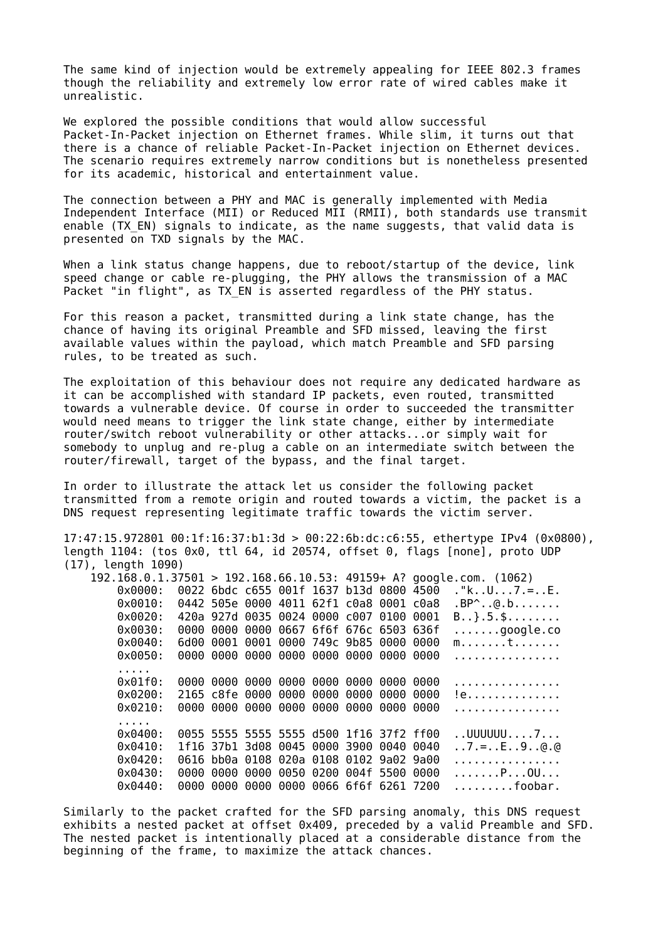The same kind of injection would be extremely appealing for IEEE 802.3 frames though the reliability and extremely low error rate of wired cables make it unrealistic.

We explored the possible conditions that would allow successful Packet-In-Packet injection on Ethernet frames. While slim, it turns out that there is a chance of reliable Packet-In-Packet injection on Ethernet devices. The scenario requires extremely narrow conditions but is nonetheless presented for its academic, historical and entertainment value.

The connection between a PHY and MAC is generally implemented with Media Independent Interface (MII) or Reduced MII (RMII), both standards use transmit enable (TX EN) signals to indicate, as the name suggests, that valid data is presented on TXD signals by the MAC.

When a link status change happens, due to reboot/startup of the device, link speed change or cable re-plugging, the PHY allows the transmission of a MAC Packet "in flight", as TX EN is asserted regardless of the PHY status.

For this reason a packet, transmitted during a link state change, has the chance of having its original Preamble and SFD missed, leaving the first available values within the payload, which match Preamble and SFD parsing rules, to be treated as such.

The exploitation of this behaviour does not require any dedicated hardware as it can be accomplished with standard IP packets, even routed, transmitted towards a vulnerable device. Of course in order to succeeded the transmitter would need means to trigger the link state change, either by intermediate router/switch reboot vulnerability or other attacks...or simply wait for somebody to unplug and re-plug a cable on an intermediate switch between the router/firewall, target of the bypass, and the final target.

In order to illustrate the attack let us consider the following packet transmitted from a remote origin and routed towards a victim, the packet is a DNS request representing legitimate traffic towards the victim server.

17:47:15.972801 00:1f:16:37:b1:3d > 00:22:6b:dc:c6:55, ethertype IPv4 (0x0800), length 1104: (tos 0x0, ttl 64, id 20574, offset 0, flags [none], proto UDP (17), length 1090)

|                   | 192.168.0.1.37501 > 192.168.66.10.53: 49159+ A? google.com. (1062) |  |  |  |  |  |                                    |
|-------------------|--------------------------------------------------------------------|--|--|--|--|--|------------------------------------|
| $0 \times 0000$ : | 0022 6bdc c655 001f 1637 b13d 0800 4500                            |  |  |  |  |  |                                    |
| $0 \times 0010$ : | 0442 505e 0000 4011 62f1 c0a8 0001 c0a8                            |  |  |  |  |  | $BP^{\wedge}$ @.b                  |
| $0 \times 0020$ : | 420a 927d 0035 0024 0000 c007 0100 0001                            |  |  |  |  |  | $B$ }.5.\$                         |
| 0x0030:           | 0000 0000 0000 0667 6f6f 676c 6503 636f                            |  |  |  |  |  | $\ldots \ldots$ .google.co         |
| 0x0040:           | 6d00 0001 0001 0000 749c 9b85 0000 0000                            |  |  |  |  |  | $m$ t                              |
| $0 \times 0050$ : | 0000 0000 0000 0000 0000 0000 0000 0000                            |  |  |  |  |  | .                                  |
|                   |                                                                    |  |  |  |  |  |                                    |
| $0x01f0$ :        | 0000 0000 0000 0000 0000 0000 0000 0000                            |  |  |  |  |  | .                                  |
| 0x0200:           | 2165 c8fe 0000 0000 0000 0000 0000 0000                            |  |  |  |  |  | !e                                 |
| 0x0210:           | 0000 0000 0000 0000 0000 0000 0000 0000                            |  |  |  |  |  | .                                  |
|                   |                                                                    |  |  |  |  |  |                                    |
| $0 \times 0400$ : | 0055 5555 5555 5555 d500 1f16 37f2 ff00                            |  |  |  |  |  | $.$ UUUUUU $. 7.$                  |
| $0 \times 0410$ : | 1f16 37b1 3d08 0045 0000 3900 0040 0040                            |  |  |  |  |  | $.7. =E. .9. .0.0$                 |
| 0x0420:           | 0616 bb0a 0108 020a 0108 0102 9a02 9a00                            |  |  |  |  |  | .                                  |
| 0x0430:           | 0000 0000 0000 0050 0200 004f 5500 0000                            |  |  |  |  |  | $\ldots \ldots P \ldots 00 \ldots$ |
| $0 \times 0440$ : | 0000 0000 0000 0000 0066 6f6f 6261 7200                            |  |  |  |  |  | $\ldots \ldots \ldots$ foobar.     |
|                   |                                                                    |  |  |  |  |  |                                    |

Similarly to the packet crafted for the SFD parsing anomaly, this DNS request exhibits a nested packet at offset 0x409, preceded by a valid Preamble and SFD. The nested packet is intentionally placed at a considerable distance from the beginning of the frame, to maximize the attack chances.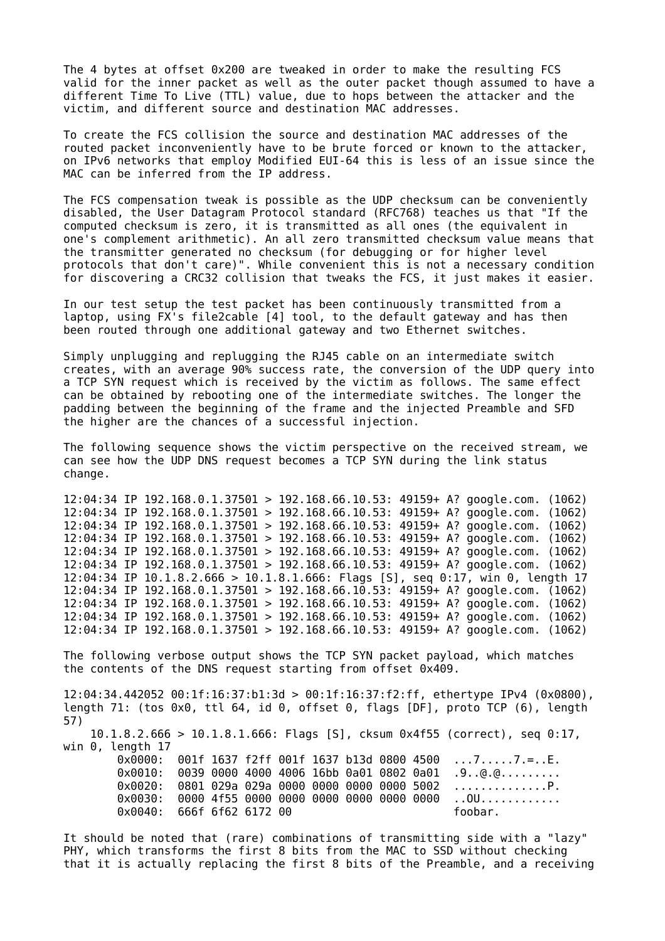The 4 bytes at offset 0x200 are tweaked in order to make the resulting FCS valid for the inner packet as well as the outer packet though assumed to have a different Time To Live (TTL) value, due to hops between the attacker and the victim, and different source and destination MAC addresses.

To create the FCS collision the source and destination MAC addresses of the routed packet inconveniently have to be brute forced or known to the attacker, on IPv6 networks that employ Modified EUI-64 this is less of an issue since the MAC can be inferred from the IP address.

The FCS compensation tweak is possible as the UDP checksum can be conveniently disabled, the User Datagram Protocol standard (RFC768) teaches us that "If the computed checksum is zero, it is transmitted as all ones (the equivalent in one's complement arithmetic). An all zero transmitted checksum value means that the transmitter generated no checksum (for debugging or for higher level protocols that don't care)". While convenient this is not a necessary condition for discovering a CRC32 collision that tweaks the FCS, it just makes it easier.

In our test setup the test packet has been continuously transmitted from a laptop, using FX's file2cable [4] tool, to the default gateway and has then been routed through one additional gateway and two Ethernet switches.

Simply unplugging and replugging the RJ45 cable on an intermediate switch creates, with an average 90% success rate, the conversion of the UDP query into a TCP SYN request which is received by the victim as follows. The same effect can be obtained by rebooting one of the intermediate switches. The longer the padding between the beginning of the frame and the injected Preamble and SFD the higher are the chances of a successful injection.

The following sequence shows the victim perspective on the received stream, we can see how the UDP DNS request becomes a TCP SYN during the link status change.

12:04:34 IP 192.168.0.1.37501 > 192.168.66.10.53: 49159+ A? google.com. (1062) 12:04:34 IP 192.168.0.1.37501 > 192.168.66.10.53: 49159+ A? google.com. (1062) 12:04:34 IP 192.168.0.1.37501 > 192.168.66.10.53: 49159+ A? google.com. (1062) 12:04:34 IP 192.168.0.1.37501 > 192.168.66.10.53: 49159+ A? google.com. (1062) 12:04:34 IP 192.168.0.1.37501 > 192.168.66.10.53: 49159+ A? google.com. (1062) 12:04:34 IP 192.168.0.1.37501 > 192.168.66.10.53: 49159+ A? google.com. (1062) 12:04:34 IP 10.1.8.2.666 > 10.1.8.1.666: Flags [S], seq 0:17, win 0, length 17 12:04:34 IP 192.168.0.1.37501 > 192.168.66.10.53: 49159+ A? google.com. (1062) 12:04:34 IP 192.168.0.1.37501 > 192.168.66.10.53: 49159+ A? google.com. (1062) 12:04:34 IP 192.168.0.1.37501 > 192.168.66.10.53: 49159+ A? google.com. (1062) 12:04:34 IP 192.168.0.1.37501 > 192.168.66.10.53: 49159+ A? google.com. (1062)

The following verbose output shows the TCP SYN packet payload, which matches the contents of the DNS request starting from offset 0x409.

12:04:34.442052 00:1f:16:37:b1:3d > 00:1f:16:37:f2:ff, ethertype IPv4 (0x0800), length 71: (tos 0x0, ttl 64, id 0, offset 0, flags [DF], proto TCP (6), length 57) 10.1.8.2.666 > 10.1.8.1.666: Flags [S], cksum 0x4f55 (correct), seq 0:17, win 0, length 17 0x0000: 001f 1637 f2ff 001f 1637 b13d 0800 4500 ...7.....7.=..E. 0x0010: 0039 0000 4000 4006 16bb 0a01 0802 0a01 .9..@.@......... 0x0020: 0801 029a 029a 0000 0000 0000 0000 5002 ..............P. 0x0030: 0000 4f55 0000 0000 0000 0000 0000 0000 ..OU............ 0x0040: 666f 6f62 6172 00 foobar.

It should be noted that (rare) combinations of transmitting side with a "lazy" PHY, which transforms the first 8 bits from the MAC to SSD without checking that it is actually replacing the first 8 bits of the Preamble, and a receiving